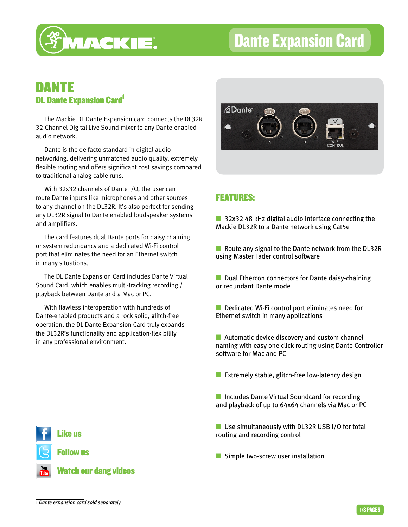

# Dante Expansion Card

## DANTE **DL Dante Expansion Card**

The Mackie DL Dante Expansion card connects the DL32R 32-Channel Digital Live Sound mixer to any Dante-enabled audio network.

Dante is the de facto standard in digital audio networking, delivering unmatched audio quality, extremely flexible routing and offers significant cost savings compared to traditional analog cable runs.

With 32x32 channels of Dante I/O, the user can route Dante inputs like microphones and other sources to any channel on the DL32R. It's also perfect for sending any DL32R signal to Dante enabled loudspeaker systems and amplifiers.

The card features dual Dante ports for daisy chaining or system redundancy and a dedicated Wi-Fi control port that eliminates the need for an Ethernet switch in many situations.

The DL Dante Expansion Card includes Dante Virtual Sound Card, which enables multi-tracking recording / playback between Dante and a Mac or PC.

With flawless interoperation with hundreds of Dante-enabled products and a rock solid, glitch-free operation, the DL Dante Expansion Card truly expands the DL32R's functionality and application-flexibility in any professional environment.



### FEATURES:

■ 32x32 48 kHz digital audio interface connecting the Mackie DL32R to a Dante network using Cat5e

■ Route any signal to the Dante network from the DL32R using Master Fader control software

■ Dual Ethercon connectors for Dante daisy-chaining or redundant Dante mode

■ Dedicated Wi-Fi control port eliminates need for Ethernet switch in many applications

■ Automatic device discovery and custom channel naming with easy one click routing using Dante Controller software for Mac and PC

**EXTERE** Extremely stable, glitch-free low-latency design

■ Includes Dante Virtual Soundcard for recording and playback of up to 64x64 channels via Mac or PC

■ Use simultaneously with DL32R USB I/O for total routing and recording control

■ Simple two-screw user installation

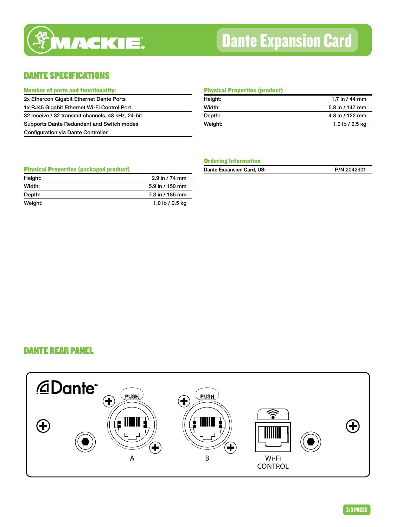

# Dante Expansion Card

### DANTE SPECIFICATIONS

| <b>Number of ports and functionality:</b>         |
|---------------------------------------------------|
| 2x Ethercon Gigabit Ethernet Dante Ports          |
| 1x RJ45 Gigabit Ethernet Wi-Fi Control Port       |
| 32 receive / 32 transmit channels, 48 kHz, 24-bit |
| Supports Dante Redundant and Switch modes         |
| <b>Configuration via Dante Controller</b>         |

#### Physical Properties (product)

| Height: | 1.7 in $/$ 44 mm |  |
|---------|------------------|--|
| Width:  | 5.8 in / 147 mm  |  |
| Depth:  | 4.8 in / 122 mm  |  |
| Weight: | 1.0 lb / 0.5 kg  |  |
|         |                  |  |

#### Physical Properties (packaged product)

| Height: | $2.9$ in $/74$ mm |
|---------|-------------------|
| Width:  | 5.9 in / 150 mm   |
| Depth:  | 7.3 in / 185 mm   |
| Weight: | 1.0 lb / 0.5 kg   |

#### Ordering Information

| Dante Expansion Card, US: | P/N 2042901 |
|---------------------------|-------------|
|---------------------------|-------------|

#### DANTE REAR PANEL